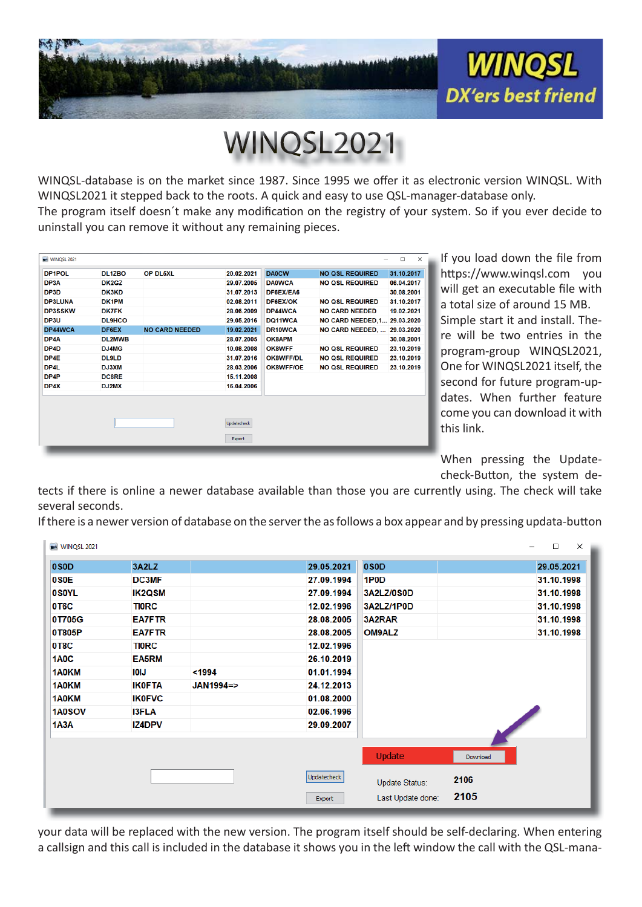

WINQSL2021

WINQSL-database is on the market since 1987. Since 1995 we offer it as electronic version WINQSL. With WINQSL2021 it stepped back to the roots. A quick and easy to use QSL-manager-database only. The program itself doesn't make any modification on the registry of your system. So if you ever decide to uninstall you can remove it without any remaining pieces.

| WINQSL 2021    |                     |                       |             |                |                              | $\times$<br>$\Box$ |
|----------------|---------------------|-----------------------|-------------|----------------|------------------------------|--------------------|
| DP1POL         | DL <sub>12</sub> BO | OP DL5XL              | 20.02.2021  | <b>DA0CW</b>   | <b>NO QSL REQUIRED</b>       | 31.10.2017         |
| DP3A           | DK2GZ               |                       | 29.07.2005  | <b>DA0WCA</b>  | <b>NO QSL REQUIRED</b>       | 06.04.2017         |
| DP3D           | DK3KD               |                       | 31.07.2013  | DF6EX/EA6      |                              | 30.08.2001         |
| <b>DP3LUNA</b> | DK1PM               |                       | 02.08.2011  | DF6EX/OK       | <b>NO QSL REQUIRED</b>       | 31.10.2017         |
| <b>DP3SSKW</b> | <b>DK7FK</b>        |                       | 28.06.2009  | DP44WCA        | <b>NO CARD NEEDED</b>        | 19.02.2021         |
| DP3U           | <b>DL9HCO</b>       |                       | 29.05.2016  | DQ11WCA        | NO CARD NEEDED, 1 29.03.2020 |                    |
| DP44WCA        | DF6EX               | <b>NO CARD NEEDED</b> | 19.02.2021  | <b>DR10WCA</b> | NO CARD NEEDED,  29.03.2020  |                    |
| DP4A           | <b>DL2MWB</b>       |                       | 28.07.2005  | OK8APM         |                              | 30.08.2001         |
| DP4D           | DJ4MG               |                       | 10.08.2008  | OK8WFF         | <b>NO QSL REQUIRED</b>       | 23.10.2019         |
| DP4E           | <b>DL9LD</b>        |                       | 31.07.2016  | OK8WFF/DL      | <b>NO QSL REQUIRED</b>       | 23.10.2019         |
| DP4L           | DJ3XM               |                       | 28.03.2006  | OK8WFF/OE      | <b>NO QSL REQUIRED</b>       | 23.10.2019         |
| DP4P           | <b>DC8RE</b>        |                       | 15.11.2008  |                |                              |                    |
| DP4X           | DJ2MX               |                       | 16.04.2006  |                |                              |                    |
|                |                     |                       |             |                |                              |                    |
|                |                     |                       | Updatecheck |                |                              |                    |
|                |                     |                       | Export      |                |                              |                    |

If you load down the file from https://www.winqsl.com you will get an executable file with a total size of around 15 MB. a Simple start it and install. The-S re will be two entries in the program-group WINQSL2021, p One for WINQSL2021 itself, the O second for future program-up-s dates. When further feature come you can download it with c this link.

When pressing the Update-Wcheck-Button, the system de-

tects if there is online a newer database available than those you are currently using. The check will take several seconds.

If there is a newer version of database on the server the as follows a box appear and by pressing updata-button

| WINQSL 2021       |               |           |             |                   |          | □<br>×<br>$\overline{\phantom{0}}$ |
|-------------------|---------------|-----------|-------------|-------------------|----------|------------------------------------|
| 0S <sub>0</sub> D | 3A2LZ         |           | 29.05.2021  | 0S <sub>0</sub> D |          | 29.05.2021                         |
| 0S <sub>0</sub> E | DC3MF         |           | 27.09.1994  | 1P <sub>0</sub> D |          | 31.10.1998                         |
| <b>0SOYL</b>      | <b>IK2QSM</b> |           | 27.09.1994  | 3A2LZ/0S0D        |          | 31.10.1998                         |
| 0T6C              | <b>TIORC</b>  |           | 12.02.1996  | 3A2LZ/1P0D        |          | 31.10.1998                         |
| 0T705G            | <b>EA7FTR</b> |           | 28.08.2005  | 3A2RAR            |          | 31.10.1998                         |
| 0T805P            | <b>EA7FTR</b> |           | 28.08.2005  | <b>OM9ALZ</b>     |          | 31.10.1998                         |
| 0T8C              | <b>TIORC</b>  |           | 12.02.1996  |                   |          |                                    |
| 1A <sub>0</sub> C | <b>EA5RM</b>  |           | 26.10.2019  |                   |          |                                    |
| 1A0KM             | <b>IOIJ</b>   | $1994$    | 01.01.1994  |                   |          |                                    |
| 1A0KM             | <b>IK0FTA</b> | JAN1994=> | 24.12.2013  |                   |          |                                    |
| 1A0KM             | <b>IK0FVC</b> |           | 01.08.2000  |                   |          |                                    |
| 1A0SOV            | <b>I3FLA</b>  |           | 02.06.1996  |                   |          |                                    |
| 1A3A              | <b>IZ4DPV</b> |           | 29.09.2007  |                   |          |                                    |
|                   |               |           |             |                   |          |                                    |
|                   |               |           |             | Update            | Download |                                    |
|                   |               |           | Updatecheck | Update Status:    | 2106     |                                    |
|                   |               |           | Export      | Last Update done: | 2105     |                                    |

your data will be replaced with the new version. The program itself should be self-declaring. When entering a callsign and this call is included in the database it shows you in the left window the call with the QSL-mana-